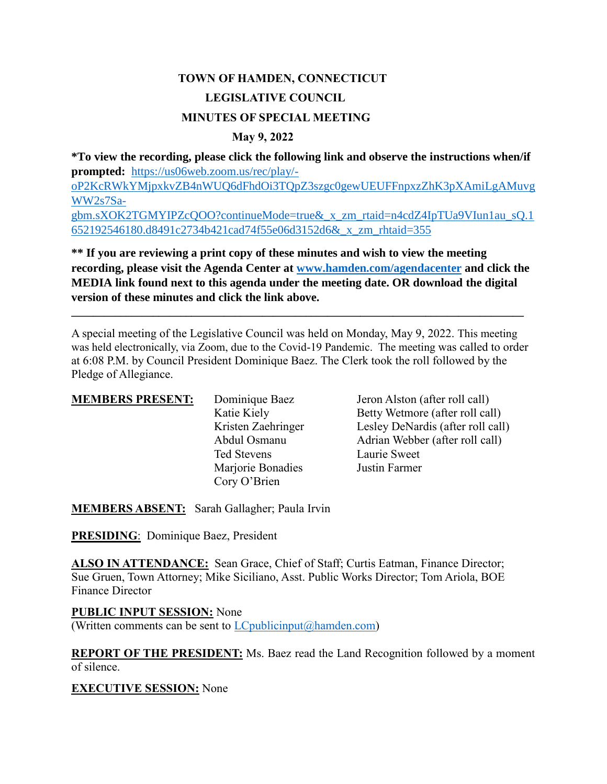# **TOWN OF HAMDEN, CONNECTICUT LEGISLATIVE COUNCIL MINUTES OF SPECIAL MEETING**

#### **May 9, 2022**

**\*To view the recording, please click the following link and observe the instructions when/if prompted:** [https://us06web.zoom.us/rec/play/](https://us06web.zoom.us/rec/play/-oP2KcRWkYMjpxkvZB4nWUQ6dFhdOi3TQpZ3szgc0gewUEUFFnpxzZhK3pXAmiLgAMuvgWW2s7Sa-gbm.sXOK2TGMYIPZcQOO?continueMode=true&_x_zm_rtaid=n4cdZ4IpTUa9VIun1au_sQ.1652192546180.d8491c2734b421cad74f55e06d3152d6&_x_zm_rhtaid=355) [oP2KcRWkYMjpxkvZB4nWUQ6dFhdOi3TQpZ3szgc0gewUEUFFnpxzZhK3pXAmiLgAMuvg](https://us06web.zoom.us/rec/play/-oP2KcRWkYMjpxkvZB4nWUQ6dFhdOi3TQpZ3szgc0gewUEUFFnpxzZhK3pXAmiLgAMuvgWW2s7Sa-gbm.sXOK2TGMYIPZcQOO?continueMode=true&_x_zm_rtaid=n4cdZ4IpTUa9VIun1au_sQ.1652192546180.d8491c2734b421cad74f55e06d3152d6&_x_zm_rhtaid=355) [WW2s7Sa](https://us06web.zoom.us/rec/play/-oP2KcRWkYMjpxkvZB4nWUQ6dFhdOi3TQpZ3szgc0gewUEUFFnpxzZhK3pXAmiLgAMuvgWW2s7Sa-gbm.sXOK2TGMYIPZcQOO?continueMode=true&_x_zm_rtaid=n4cdZ4IpTUa9VIun1au_sQ.1652192546180.d8491c2734b421cad74f55e06d3152d6&_x_zm_rhtaid=355)[gbm.sXOK2TGMYIPZcQOO?continueMode=true&\\_x\\_zm\\_rtaid=n4cdZ4IpTUa9VIun1au\\_sQ.1](https://us06web.zoom.us/rec/play/-oP2KcRWkYMjpxkvZB4nWUQ6dFhdOi3TQpZ3szgc0gewUEUFFnpxzZhK3pXAmiLgAMuvgWW2s7Sa-gbm.sXOK2TGMYIPZcQOO?continueMode=true&_x_zm_rtaid=n4cdZ4IpTUa9VIun1au_sQ.1652192546180.d8491c2734b421cad74f55e06d3152d6&_x_zm_rhtaid=355) [652192546180.d8491c2734b421cad74f55e06d3152d6&\\_x\\_zm\\_rhtaid=355](https://us06web.zoom.us/rec/play/-oP2KcRWkYMjpxkvZB4nWUQ6dFhdOi3TQpZ3szgc0gewUEUFFnpxzZhK3pXAmiLgAMuvgWW2s7Sa-gbm.sXOK2TGMYIPZcQOO?continueMode=true&_x_zm_rtaid=n4cdZ4IpTUa9VIun1au_sQ.1652192546180.d8491c2734b421cad74f55e06d3152d6&_x_zm_rhtaid=355)

**\*\* If you are reviewing a print copy of these minutes and wish to view the meeting recording, please visit the Agenda Center at [www.hamden.com/agendacenter](http://www.hamden.com/agendacenter) and click the MEDIA link found next to this agenda under the meeting date. OR download the digital version of these minutes and click the link above.**

**\_\_\_\_\_\_\_\_\_\_\_\_\_\_\_\_\_\_\_\_\_\_\_\_\_\_\_\_\_\_\_\_\_\_\_\_\_\_\_\_\_\_\_\_\_\_\_\_\_\_\_\_\_\_\_\_\_\_\_\_\_\_\_\_\_\_\_\_\_\_\_\_\_\_\_\_\_\_\_\_\_\_\_**

A special meeting of the Legislative Council was held on Monday, May 9, 2022. This meeting was held electronically, via Zoom, due to the Covid-19 Pandemic. The meeting was called to order at 6:08 P.M. by Council President Dominique Baez. The Clerk took the roll followed by the Pledge of Allegiance.

| <b>MEMBERS PRESENT:</b> | Dominique Baez     | Jeron Alston (after roll call)    |
|-------------------------|--------------------|-----------------------------------|
|                         | Katie Kiely        | Betty Wetmore (after roll call)   |
|                         | Kristen Zaehringer | Lesley DeNardis (after roll call) |
|                         | Abdul Osmanu       | Adrian Webber (after roll call)   |
|                         | Ted Stevens        | Laurie Sweet                      |
|                         | Marjorie Bonadies  | Justin Farmer                     |
|                         | Cory O'Brien       |                                   |

**MEMBERS ABSENT:** Sarah Gallagher; Paula Irvin

**PRESIDING**: Dominique Baez, President

ALSO IN ATTENDANCE: Sean Grace, Chief of Staff; Curtis Eatman, Finance Director; Sue Gruen, Town Attorney; Mike Siciliano, Asst. Public Works Director; Tom Ariola, BOE Finance Director

**PUBLIC INPUT SESSION:** None (Written comments can be sent to  $LC$  publicinput  $(a)$  hamden.com)

**REPORT OF THE PRESIDENT:** Ms. Baez read the Land Recognition followed by a moment of silence.

#### **EXECUTIVE SESSION:** None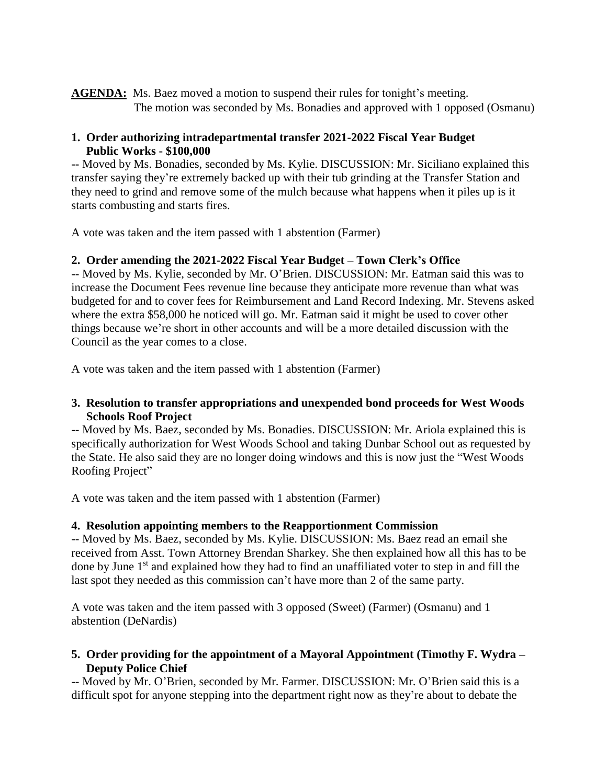**AGENDA:** Ms. Baez moved a motion to suspend their rules for tonight's meeting.

The motion was seconded by Ms. Bonadies and approved with 1 opposed (Osmanu)

### **1. Order authorizing intradepartmental transfer 2021-2022 Fiscal Year Budget Public Works - \$100,000**

**--** Moved by Ms. Bonadies, seconded by Ms. Kylie. DISCUSSION: Mr. Siciliano explained this transfer saying they're extremely backed up with their tub grinding at the Transfer Station and they need to grind and remove some of the mulch because what happens when it piles up is it starts combusting and starts fires.

A vote was taken and the item passed with 1 abstention (Farmer)

## **2. Order amending the 2021-2022 Fiscal Year Budget – Town Clerk's Office**

-- Moved by Ms. Kylie, seconded by Mr. O'Brien. DISCUSSION: Mr. Eatman said this was to increase the Document Fees revenue line because they anticipate more revenue than what was budgeted for and to cover fees for Reimbursement and Land Record Indexing. Mr. Stevens asked where the extra \$58,000 he noticed will go. Mr. Eatman said it might be used to cover other things because we're short in other accounts and will be a more detailed discussion with the Council as the year comes to a close.

A vote was taken and the item passed with 1 abstention (Farmer)

### **3. Resolution to transfer appropriations and unexpended bond proceeds for West Woods Schools Roof Project**

-- Moved by Ms. Baez, seconded by Ms. Bonadies. DISCUSSION: Mr. Ariola explained this is specifically authorization for West Woods School and taking Dunbar School out as requested by the State. He also said they are no longer doing windows and this is now just the "West Woods Roofing Project"

A vote was taken and the item passed with 1 abstention (Farmer)

## **4. Resolution appointing members to the Reapportionment Commission**

-- Moved by Ms. Baez, seconded by Ms. Kylie. DISCUSSION: Ms. Baez read an email she received from Asst. Town Attorney Brendan Sharkey. She then explained how all this has to be done by June 1<sup>st</sup> and explained how they had to find an unaffiliated voter to step in and fill the last spot they needed as this commission can't have more than 2 of the same party.

A vote was taken and the item passed with 3 opposed (Sweet) (Farmer) (Osmanu) and 1 abstention (DeNardis)

### **5. Order providing for the appointment of a Mayoral Appointment (Timothy F. Wydra – Deputy Police Chief**

-- Moved by Mr. O'Brien, seconded by Mr. Farmer. DISCUSSION: Mr. O'Brien said this is a difficult spot for anyone stepping into the department right now as they're about to debate the